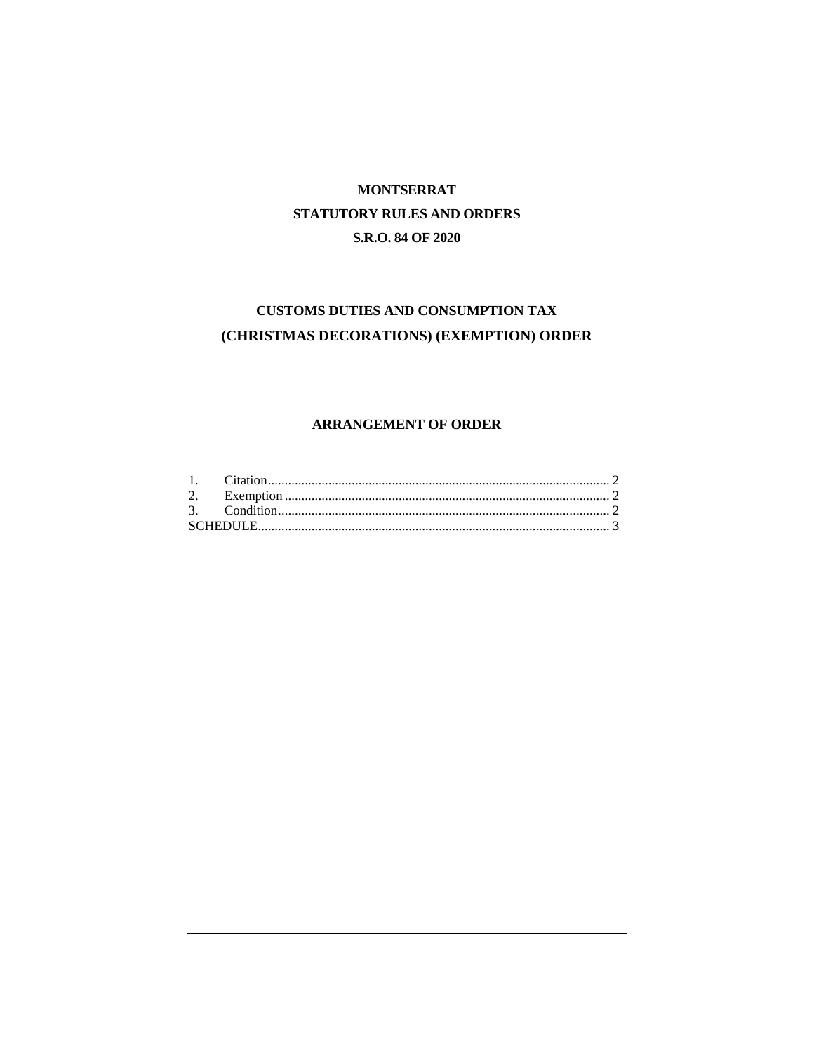# **MONTSERRAT** STATUTORY RULES AND ORDERS S.R.O. 84 OF 2020

## CUSTOMS DUTIES AND CONSUMPTION TAX (CHRISTMAS DECORATIONS) (EXEMPTION) ORDER

## **ARRANGEMENT OF ORDER**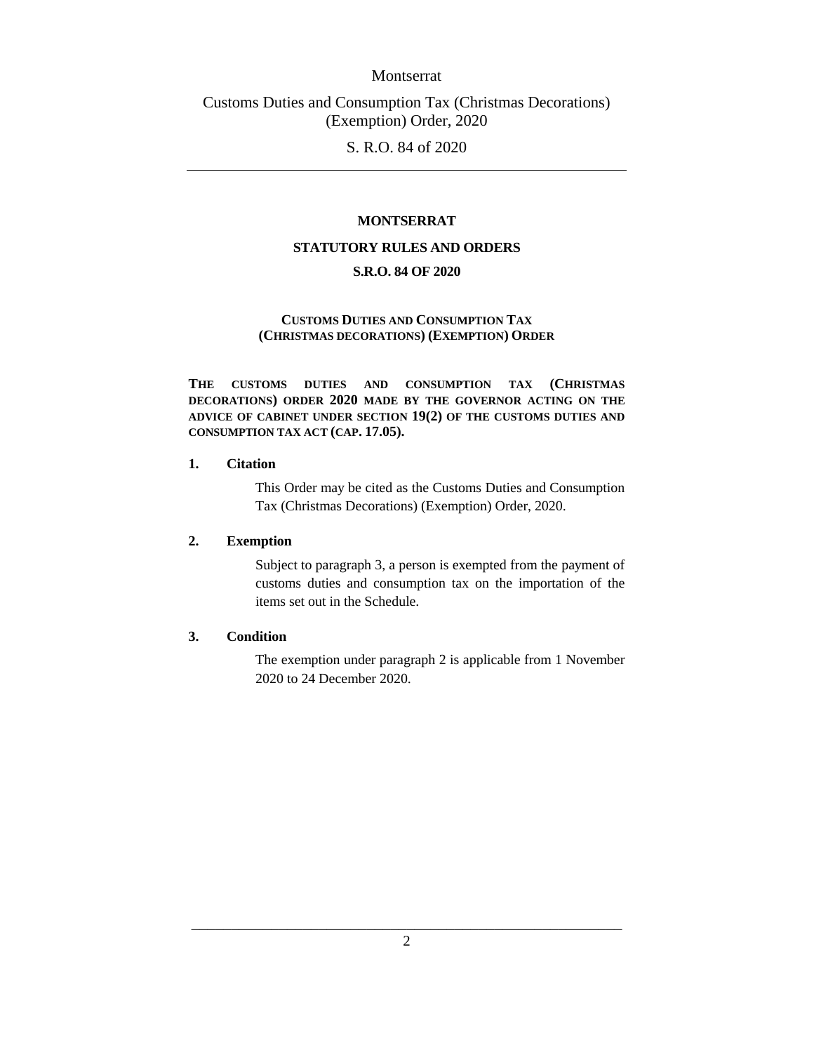#### Montserrat

Customs Duties and Consumption Tax (Christmas Decorations) (Exemption) Order, 2020

S. R.O. 84 of 2020

#### **MONTSERRAT**

#### **STATUTORY RULES AND ORDERS**

## **S.R.O. 84 OF 2020**

#### **CUSTOMS DUTIES AND CONSUMPTION TAX (CHRISTMAS DECORATIONS) (EXEMPTION) ORDER**

**THE CUSTOMS DUTIES AND CONSUMPTION TAX (CHRISTMAS DECORATIONS) ORDER 2020 MADE BY THE GOVERNOR ACTING ON THE ADVICE OF CABINET UNDER SECTION 19(2) OF THE CUSTOMS DUTIES AND CONSUMPTION TAX ACT (CAP. 17.05).**

#### <span id="page-1-0"></span>**1. Citation**

This Order may be cited as the Customs Duties and Consumption Tax (Christmas Decorations) (Exemption) Order, 2020.

#### <span id="page-1-1"></span>**2. Exemption**

Subject to paragraph 3, a person is exempted from the payment of customs duties and consumption tax on the importation of the items set out in the Schedule.

#### <span id="page-1-2"></span>**3. Condition**

The exemption under paragraph 2 is applicable from 1 November 2020 to 24 December 2020.